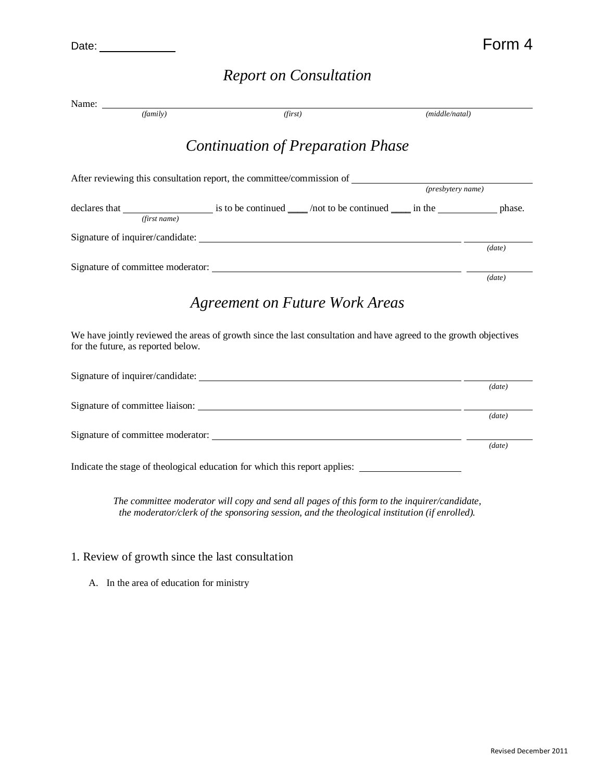Date: Form 4

## *Report on Consultation*

| Name:                                                                                          |                                   |                                                                                                                                                        |
|------------------------------------------------------------------------------------------------|-----------------------------------|--------------------------------------------------------------------------------------------------------------------------------------------------------|
| (family)                                                                                       | (first)                           | (middle/natal)                                                                                                                                         |
|                                                                                                | Continuation of Preparation Phase |                                                                                                                                                        |
| After reviewing this consultation report, the committee/commission of <i>(presbytery name)</i> |                                   |                                                                                                                                                        |
|                                                                                                |                                   | declares that $\frac{1}{\text{first name}}$ is to be continued $\frac{1}{\text{first name}}$ /not to be continued $\frac{1}{\text{first name}}$ in the |
|                                                                                                |                                   | (data)                                                                                                                                                 |
|                                                                                                |                                   | (data)                                                                                                                                                 |
|                                                                                                | Agreement on Future Work Areas    | We have jointly reviewed the areas of growth since the last consultation and have agreed to the growth objectives                                      |
| for the future, as reported below.                                                             |                                   |                                                                                                                                                        |
|                                                                                                |                                   | (data)                                                                                                                                                 |
|                                                                                                |                                   | (data)                                                                                                                                                 |
|                                                                                                |                                   | (data)                                                                                                                                                 |
| Indicate the stage of theological education for which this report applies:                     |                                   |                                                                                                                                                        |
|                                                                                                |                                   |                                                                                                                                                        |

*The committee moderator will copy and send all pages of this form to the inquirer/candidate, the moderator/clerk of the sponsoring session, and the theological institution (if enrolled).*

## 1. Review of growth since the last consultation

A. In the area of education for ministry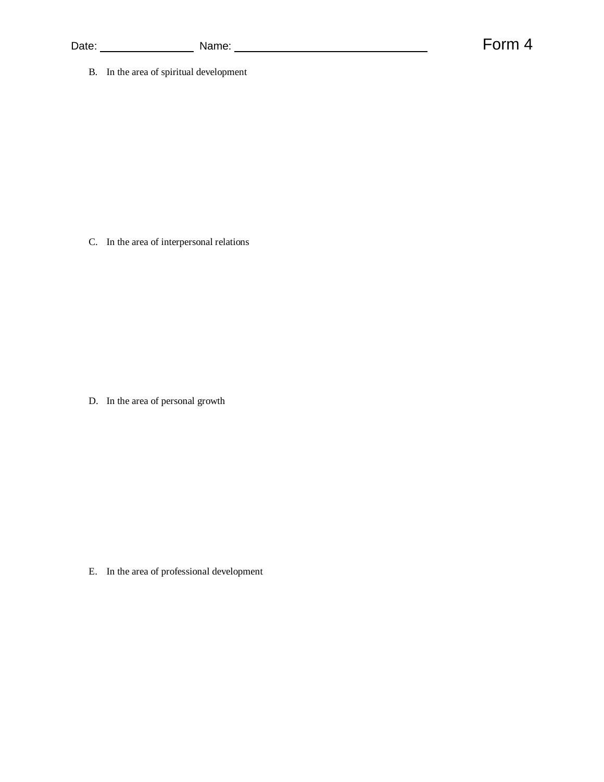B. In the area of spiritual development

C. In the area of interpersonal relations

D. In the area of personal growth

E. In the area of professional development